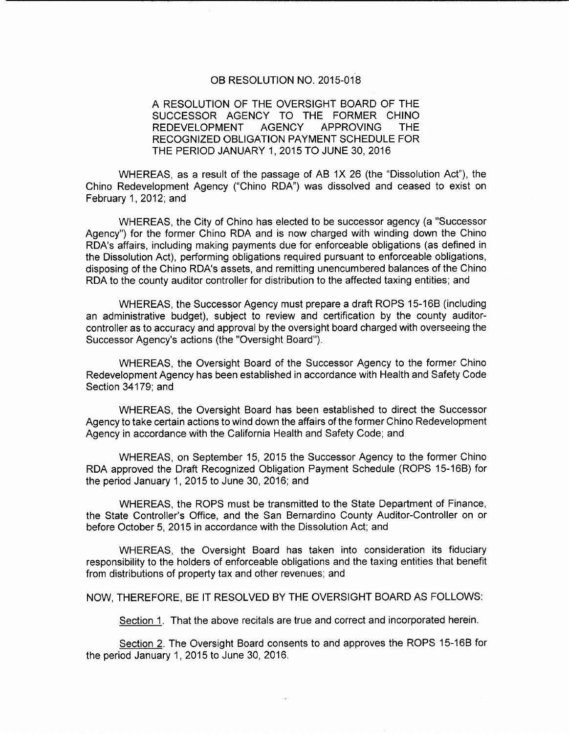#### OB RESOLUTION NO. 2015-018

### A RESOLUTION OF THE OVERSIGHT BOARD OF THE SUCCESSOR AGENCY TO THE FORMER CHINO REDEVELOPMENT AGENCY APPROVING THE RECOGNIZED OBLIGATION PAYMENT SCHEDULE FOR THE PERIOD JANUARY 1, 2015 TO JUNE 30, 2016

WHEREAS, as a result of the passage of AB 1X 26 (the "Dissolution Act"), the Chino Redevelopment Agency ("Chino RDA") was dissolved and ceased to exist on February 1, 2012; and

WHEREAS, the City of Chino has elected to be successor agency (a "Successor Agency") for the former Chino RDA and is now charged with winding down the Chino RDA's affairs, including making payments due for enforceable obligations ( as defined in the Dissolution Act), performing obligations required pursuant to enforceable obligations, disposing of the Chino RDA's assets, and remitting unencumbered balances of the Chino RDA to the county auditor controller for distribution to the affected taxing entities; and

WHEREAS, the Successor Agency must prepare a draft ROPS 15-16B (including an administrative budget), subject to review and certification by the county auditorcontroller as to accuracy and approval by the oversight board charged with overseeing the Successor Agency's actions (the "Oversight Board").

WHEREAS, the Oversight Board of the Successor Agency to the former Chino Redevelopment Agency has been established in accordance with Health and Safety Code Section 34179; and

WHEREAS, the Oversight Board has been established to direct the Successor Agency to take certain actions to wind down the affairs of the former Chino Redevelopment Agency in accordance with the California Health and Safety Code; and

WHEREAS, on September 15, 2015 the Successor Agency to the former Chino RDA approved the Draft Recognized Obligation Payment Schedule (ROPS 15-16B) for the period January 1, 2015 to June 30, 2016; and

WHEREAS, the ROPS must be transmitted to the State Department of Finance, the State Controller's Office, and the San Bernardino County Auditor-Controller on or before October 5, 2015 in accordance with the Dissolution Act; and

WHEREAS, the Oversight Board has taken into consideration its fiduciary responsibility to the holders of enforceable obligations and the taxing entities that benefit from distributions of property tax and other revenues; and

NOW, THEREFORE, BE IT RESOLVED BY THE OVERSIGHT BOARD AS FOLLOWS:

Section 1. That the above recitals are true and correct and incorporated herein.

Section 2. The Oversight Board consents to and approves the ROPS 15-16B for the period January 1, 2015 to June 30, 2016.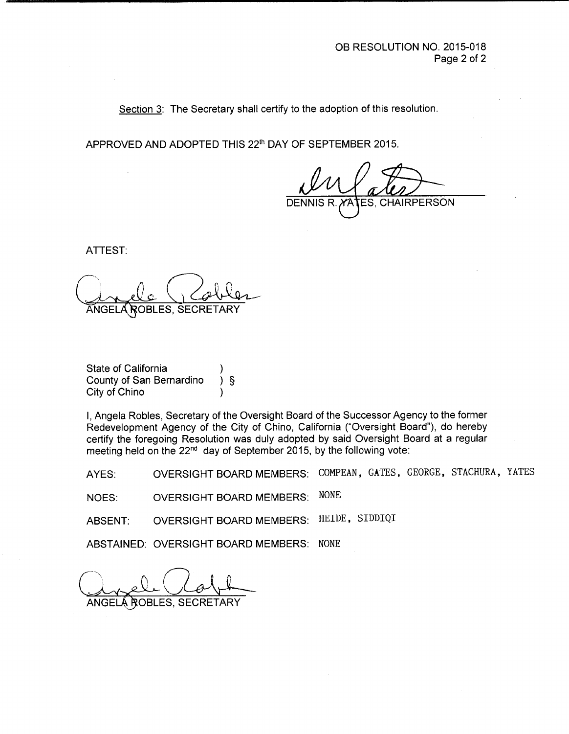Section 3: The Secretary shall certify to the adoption of this resolution.

APPROVED AND ADOPTED THIS 22<sup>th</sup> DAY OF SEPTEMBER 2015.

ES, CHAIRPERSON

ATTEST:

ANGELA ROBLES, SECRETA

State of California County of San Bernardino ) § City of Chino

I, Angela Robles, Secretary of the Oversight Board of the Successor Agency to the former Redevelopment Agency of the City of Chino, California (" Oversight Board"), do hereby certify the foregoing Resolution was duly adopted by said Oversight Board at a regular meeting held on the 22<sup>nd</sup> day of September 2015, by the following vote:

AYES: OVERSIGHT BOARD MEMBERS: COMPEAN, GATES, GEORGE, STACHURA, YATES

NOES: OVERSIGHT BOARD MEMBERS: NONE

ABSENT: OVERSIGHT BOARD MEMBERS: HEIDE, SIDDIQI

ABSTAINED: OVERSIGHT BOARD MEMBERS: NONE

t

ANGELÁ ROBLES, SECRE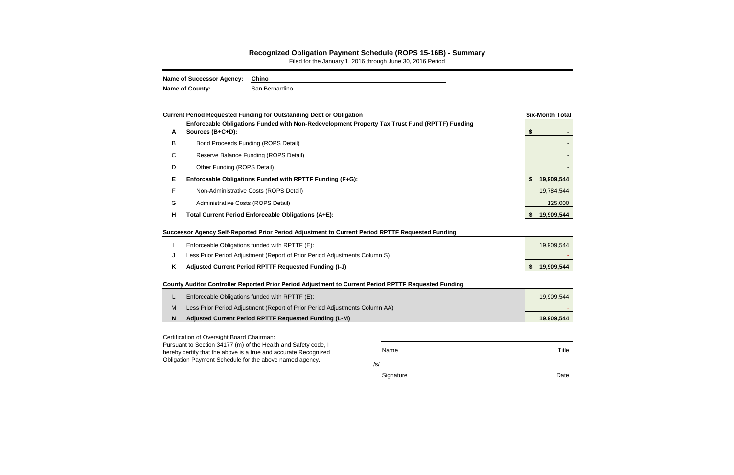/s/

Signature **Date** 

|   | <b>Current Period Requested Funding for Outstanding Debt or Obligation</b>                                                                         |      | <b>Six-Month Total</b> |
|---|----------------------------------------------------------------------------------------------------------------------------------------------------|------|------------------------|
| A | Enforceable Obligations Funded with Non-Redevelopment Property Tax Trust Fund (RPTTF) Funding<br>Sources (B+C+D):                                  |      | \$                     |
| В | <b>Bond Proceeds Funding (ROPS Detail)</b>                                                                                                         |      |                        |
| C | Reserve Balance Funding (ROPS Detail)                                                                                                              |      |                        |
| D | Other Funding (ROPS Detail)                                                                                                                        |      |                        |
| E | Enforceable Obligations Funded with RPTTF Funding (F+G):                                                                                           |      | 19,909,544             |
| F | Non-Administrative Costs (ROPS Detail)                                                                                                             |      | 19,784,544             |
| G | Administrative Costs (ROPS Detail)                                                                                                                 |      | 125,000                |
| Η | Total Current Period Enforceable Obligations (A+E):                                                                                                |      | 19,909,544             |
|   | Successor Agency Self-Reported Prior Period Adjustment to Current Period RPTTF Requested Funding<br>Enforceable Obligations funded with RPTTF (E): |      | 19,909,544             |
| J | Less Prior Period Adjustment (Report of Prior Period Adjustments Column S)                                                                         |      |                        |
| Κ | Adjusted Current Period RPTTF Requested Funding (I-J)                                                                                              |      | \$19,909,544           |
|   | County Auditor Controller Reported Prior Period Adjustment to Current Period RPTTF Requested Funding                                               |      |                        |
| L | Enforceable Obligations funded with RPTTF (E):                                                                                                     |      | 19,909,544             |
| M | Less Prior Period Adjustment (Report of Prior Period Adjustments Column AA)                                                                        |      |                        |
| N | Adjusted Current Period RPTTF Requested Funding (L-M)                                                                                              |      | 19,909,544             |
|   | Certification of Oversight Board Chairman:<br>Pursuant to Section 34177 (m) of the Health and Safety code, I                                       |      |                        |
|   | hereby certify that the above is a true and accurate Recognized                                                                                    | Name | Title                  |

Obligation Payment Schedule for the above named agency.

## **Recognized Obligation Payment Schedule (ROPS 15-16B) - Summary**

Filed for the January 1, 2016 through June 30, 2016 Period

| Name of Successor Agency: | Chino          |  |  |  |  |  |
|---------------------------|----------------|--|--|--|--|--|
| Name of County:           | San Bernardino |  |  |  |  |  |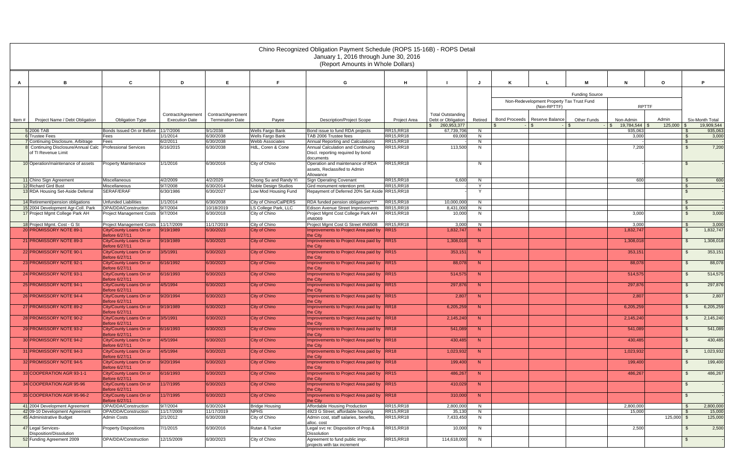|        |                                                                       |                                                            |                         |                         |                                                     | Chino Recognized Obligation Payment Schedule (ROPS 15-16B) - ROPS Detail<br>January 1, 2016 through June 30, 2016<br>(Report Amounts in Whole Dollars) |                                 |                                     |         |                                 |                                                          |                       |                                   |                       |                             |                               |
|--------|-----------------------------------------------------------------------|------------------------------------------------------------|-------------------------|-------------------------|-----------------------------------------------------|--------------------------------------------------------------------------------------------------------------------------------------------------------|---------------------------------|-------------------------------------|---------|---------------------------------|----------------------------------------------------------|-----------------------|-----------------------------------|-----------------------|-----------------------------|-------------------------------|
|        |                                                                       |                                                            |                         |                         |                                                     |                                                                                                                                                        |                                 |                                     |         |                                 |                                                          |                       |                                   |                       |                             |                               |
| A      | B                                                                     | $\mathbf{c}$                                               | D                       | E                       | Е                                                   | G                                                                                                                                                      | H                               |                                     |         | K                               |                                                          | м                     | N                                 | $\mathbf{o}$          |                             | P                             |
|        |                                                                       |                                                            |                         |                         |                                                     |                                                                                                                                                        |                                 |                                     |         |                                 |                                                          | <b>Funding Source</b> |                                   |                       |                             |                               |
|        |                                                                       |                                                            |                         |                         |                                                     |                                                                                                                                                        |                                 |                                     |         |                                 | Non-Redevelopment Property Tax Trust Fund<br>(Non-RPTTF) |                       | <b>RPTTF</b>                      |                       |                             |                               |
|        |                                                                       |                                                            | Contract/Agreement      | Contract/Agreement      |                                                     |                                                                                                                                                        |                                 | <b>Total Outstanding</b>            |         |                                 |                                                          |                       |                                   |                       |                             |                               |
| Item # | Project Name / Debt Obligation                                        | <b>Obligation Type</b>                                     | <b>Execution Date</b>   | <b>Termination Date</b> | Payee                                               | <b>Description/Project Scope</b>                                                                                                                       | Project Area                    | Debt or Obligation<br>\$260,953,377 | Retired | Bond Proceeds   Reserve Balance |                                                          | <b>Other Funds</b>    | Non-Admin<br>19,784,544 \$<br>-15 | Admin<br>$125,000$ \$ |                             | Six-Month Total<br>19,909,544 |
|        | 5 2006 TAB                                                            | Bonds Issued On or Before                                  | 11/7/2006               | 9/1/2038                | <b>Wells Fargo Bank</b>                             | Bond issue to fund RDA projects                                                                                                                        | <b>RR15, RR18</b>               | 67,739,706                          | N       |                                 |                                                          |                       | 935,063                           |                       | - 9                         | 935,063                       |
|        | <b>6</b> Trustee Fees<br>7 Continuing Disclosure, Arbitrage           | Fees<br>Fees                                               | 1/1/2014<br>6/2/2011    | 6/30/2038<br>6/30/2038  | Wells Fargo Bank<br><b>Webb Associates</b>          | TAB 2006 Trustee fees<br>Annual Reporting and Calculations                                                                                             | <b>RR15.RR18</b><br>RR15, RR18  | 69.000                              | N<br>N  |                                 |                                                          |                       | 3,000                             |                       | $\mathbb{S}$<br>$\sqrt{3}$  | 3,000                         |
|        | 8 Continuing Disclosure/Annual Calc                                   | <b>Professional Services</b>                               | 6/16/2015               | 6/30/2038               | HdL, Coren & Cone                                   | Annual Calculation and Continuing                                                                                                                      | RR15, RR18                      | 113,500                             | N       |                                 |                                                          |                       | 7,200                             |                       | <b>\$</b>                   | 7,200                         |
|        | of TI Revenue Limit                                                   |                                                            |                         |                         |                                                     | Discl. reporting required by bond<br>documents                                                                                                         |                                 |                                     |         |                                 |                                                          |                       |                                   |                       |                             |                               |
|        | 10 Operation/maintenance of assets                                    | <b>Property Maintenance</b>                                | 1/1/2016                | 6/30/2016               | City of Chino                                       | Operation and maintenance of RDA<br>assets, Reclassifed to Admin                                                                                       | RR15, RR18                      |                                     | N       |                                 |                                                          |                       |                                   |                       | - \$                        |                               |
|        |                                                                       |                                                            |                         |                         |                                                     | Allowance                                                                                                                                              |                                 |                                     |         |                                 |                                                          |                       |                                   |                       |                             |                               |
|        | 11 Chino Sign Agreement                                               | <b>Miscellaneous</b>                                       | 4/2/2009                | 4/2/2029                | Chong Su and Randy Yi                               | Sign Operating Covenant                                                                                                                                | <b>RR15.RR18</b>                | 6,600                               | N       |                                 |                                                          |                       | 600                               |                       | $\sqrt{3}$                  | 600                           |
|        | 12 Richard Gird Bust<br>13 RDA Housing Set-Aside Deferral             | Miscellaneous<br>SERAF/ERAF                                | 9/7/2008<br>6/30/1986   | 6/30/2014<br>6/30/2027  | <b>Noble Design Studios</b><br>Low Mod Housing Fund | Gird monument retention pmt.<br>Repayment of Deferred 20% Set Aside RR15,RR18                                                                          | RR15, RR18                      |                                     | Y.<br>Y |                                 |                                                          |                       |                                   |                       | $\sqrt{3}$<br>$\mathcal{F}$ |                               |
|        |                                                                       |                                                            |                         |                         |                                                     |                                                                                                                                                        |                                 |                                     |         |                                 |                                                          |                       |                                   |                       |                             |                               |
|        | 14 Retirement/pension obligations                                     | <b>Unfunded Liabilities</b>                                | 1/1/2014                | 6/30/2038               | City of Chino/CalPERS                               | RDA funded pension obligations****                                                                                                                     | <b>RR15, RR18</b>               | 10,000,000                          | N       |                                 |                                                          |                       |                                   |                       | $\sqrt{S}$                  |                               |
|        | 15 2004 Development Agr-Coll. Park<br>17 Project Mgmt College Park AH | OPA/DDA/Construction<br>Project Management Costs           | 9/7/2004<br>9/7/2004    | 10/18/2019<br>6/30/2018 | LS College Park, LLC<br>City of Chino               | Edison Avenue Street Improvements<br>Project Mgmt Cost College Park AH                                                                                 | <b>RR15, RR18</b><br>RR15, RR18 | 8,431,000<br>10,000                 | N<br>N  |                                 |                                                          |                       | 3,000                             |                       | $\mathbb{S}$<br><b>S</b>    | 3,000                         |
|        |                                                                       |                                                            |                         |                         |                                                     | #N6069                                                                                                                                                 |                                 |                                     |         |                                 |                                                          |                       |                                   |                       |                             |                               |
|        | 18 Project Mgmt. Cost - G St<br>20 PROMISSORY NOTE 89-1               | <b>Project Management Costs</b><br>City/County Loans On or | 11/17/2009<br>9/19/1989 | 11/17/2019<br>6/30/2023 | City of Chino<br>City of Chino                      | Project Mgmt Cost G Street #N6508<br>Improvements to Project Area paid by RR15                                                                         | RR15, RR18                      | 3,000<br>1,832,747                  | N<br>N  |                                 |                                                          |                       | 3,000<br>1,832,747                |                       | <b>\$</b><br>$\mathfrak{S}$ | 3,000<br>1,832,747            |
|        | 21 PROMISSORY NOTE 89-3                                               | Before 6/27/11<br>City/County Loans On or                  | 9/19/1989               | 6/30/2023               | City of Chino                                       | the City<br>Improvements to Project Area paid by RR15                                                                                                  |                                 | 1,308,018                           | N       |                                 |                                                          |                       | 1,308,018                         |                       | $\mathcal{S}$               | 1,308,018                     |
|        |                                                                       | Before 6/27/11                                             |                         |                         |                                                     | the Citv                                                                                                                                               |                                 |                                     |         |                                 |                                                          |                       |                                   |                       |                             |                               |
|        | 22 PROMISSORY NOTE 90-1                                               | City/County Loans On or<br>Before 6/27/11                  | 3/5/1991                | 6/30/2023               | City of Chino                                       | Improvements to Project Area paid by RR15<br>the City                                                                                                  |                                 | 353,151                             | N       |                                 |                                                          |                       | 353,151                           |                       | -S                          | 353,151                       |
|        | 23 PROMISSORY NOTE 92-1                                               | City/County Loans On or<br>Before 6/27/11                  | 6/16/1992               | 6/30/2023               | City of Chino                                       | Improvements to Project Area paid by RR15<br>the City                                                                                                  |                                 | 88,078                              | N       |                                 |                                                          |                       | 88,078                            |                       | $\mathfrak{L}$              | 88,078                        |
|        | 24 PROMISSORY NOTE 93-1                                               | City/County Loans On or<br>Before 6/27/11                  | 6/16/1993               | 6/30/2023               | City of Chino                                       | Improvements to Project Area paid by RR15<br>the City                                                                                                  |                                 | 514,575                             | N       |                                 |                                                          |                       | 514,575                           |                       | $\mathfrak{S}$              | 514,575                       |
|        | 25 PROMISSORY NOTE 94-1                                               | City/County Loans On or<br><b>Before 6/27/11</b>           | 4/5/1994                | 6/30/2023               | City of Chino                                       | Improvements to Project Area paid by RR15<br>the City                                                                                                  |                                 | 297,876                             | N       |                                 |                                                          |                       | 297,876                           |                       | - \$                        | 297,876                       |
|        | 26 PROMISSORY NOTE 94-4                                               | City/County Loans On or<br><b>Before 6/27/11</b>           | 9/20/1994               | 6/30/2023               | City of Chino                                       | Improvements to Project Area paid by RR15<br>the City                                                                                                  |                                 | 2,807                               | N       |                                 |                                                          |                       | 2,807                             |                       |                             | 2,807                         |
|        | 27 PROMISSORY NOTE 89-2                                               | City/County Loans On or<br>Before 6/27/11                  | 9/19/1989               | 6/30/2023               | City of Chino                                       | Improvements to Project Area paid by RR18<br>the City                                                                                                  |                                 | 6,205,259                           | N       |                                 |                                                          |                       | 6,205,259                         |                       |                             | 6,205,259                     |
|        | 28 PROMISSORY NOTE 90-2                                               | City/County Loans On or<br>Before 6/27/11                  | 3/5/1991                | 6/30/2023               | City of Chino                                       | Improvements to Project Area paid by RR18<br>the City                                                                                                  |                                 | 2,145,240                           | N       |                                 |                                                          |                       | 2,145,240                         |                       |                             | 2,145,240                     |
|        | 29 PROMISSORY NOTE 93-2                                               | City/County Loans On or<br>Before 6/27/11                  | 6/16/1993               | 6/30/2023               | City of Chino                                       | Improvements to Project Area paid by RR18<br>the City                                                                                                  |                                 | 541,089                             | N       |                                 |                                                          |                       | 541,089                           |                       | $\mathbb{S}$                | 541,089                       |
|        | 30 PROMISSORY NOTE 94-2                                               | City/County Loans On or<br>Before 6/27/11                  | 4/5/1994                | 6/30/2023               | City of Chino                                       | Improvements to Project Area paid by RR18<br>the City                                                                                                  |                                 | 430,485                             | N       |                                 |                                                          |                       | 430,485                           |                       | -S                          | 430,485                       |
|        | 31 PROMISSORY NOTE 94-3                                               | City/County Loans On or<br>Before 6/27/11                  | 4/5/1994                | 6/30/2023               | City of Chino                                       | Improvements to Project Area paid by RR18<br>the City                                                                                                  |                                 | 1,023,932                           | N       |                                 |                                                          |                       | 1,023,932                         |                       | -S                          | 1,023,932                     |
|        | 32 PROMISSORY NOTE 94-5                                               | City/County Loans On or<br>Before 6/27/11                  | 9/20/1994               | 6/30/2023               | City of Chino                                       | Improvements to Project Area paid by RR18<br>the City                                                                                                  |                                 | 199,400                             | N       |                                 |                                                          |                       | 199,400                           |                       | -S                          | 199,400                       |
|        | 33 COOPERATION AGR 93-1-1                                             | City/County Loans On or<br>Before 6/27/11                  | 6/16/1993               | 6/30/2023               | City of Chino                                       | Improvements to Project Area paid by RR15<br>the City                                                                                                  |                                 | 486,267                             | N       |                                 |                                                          |                       | 486,267                           |                       | -S                          | 486,267                       |
|        | 34 COOPERATION AGR 95-96                                              | City/County Loans On or<br>Before 6/27/11                  | 11/7/1995               | 6/30/2023               | City of Chino                                       | Improvements to Project Area paid by RR15<br>the City                                                                                                  |                                 | 410,029                             | N       |                                 |                                                          |                       |                                   |                       | \$                          |                               |
|        | 35 COOPERATION AGR 95-96-2                                            | City/County Loans On or<br>Before 6/27/11                  | 11/7/1995               | 6/30/2023               | City of Chino                                       | Improvements to Project Area paid by RR18<br>the City                                                                                                  |                                 | 310,000                             | N       |                                 |                                                          |                       |                                   |                       | -\$                         |                               |
|        | 41 2004 Development Agreement                                         | OPA/DDA/Construction                                       | 9/7/2004                | 6/30/2024               | <b>Bridge Housing</b><br><b>NPHS</b>                | Affordable Housing Production                                                                                                                          | RR15, RR18                      | 2,800,000                           | N       |                                 |                                                          |                       | 2,800,000                         |                       |                             | 2,800,000                     |
|        | 42 09-10 Development Agreement<br>45 Administrative Budget            | OPA/DDA/Construction<br>Admin Costs                        | 11/17/2009<br>2/1/2012  | 11/17/2019<br>6/30/2038 | City of Chino                                       | 4923 G Street, affordable housing<br>Admin cost, staff salaries, benefits,                                                                             | <b>RR15, RR18</b><br>RR15, RR18 | 35,130<br>7,433,450                 | N<br>N  |                                 |                                                          |                       | 15,000                            | $125,000$ \$          | - \$                        | 15,000<br>125,000             |
|        | 47 Legal Services-                                                    | <b>Property Dispositions</b>                               | 7/1/2015                | 6/30/2016               | Rutan & Tucker                                      | alloc. cost<br>Legal svc re: Disposition of Prop.&                                                                                                     | <b>RR15, RR18</b>               | 10,000                              | N       |                                 |                                                          |                       | 2,500                             |                       | \$                          | 2,500                         |
|        | Disposition/Dissolution<br>52 Funding Agreement 2009                  | OPA/DDA/Construction                                       | 12/15/2009              | 6/30/2023               | City of Chino                                       | Dissolution<br>Agreement to fund public impr.                                                                                                          | RR15, RR18                      | 114,618,000                         | N       |                                 |                                                          |                       |                                   |                       |                             |                               |
|        |                                                                       |                                                            |                         |                         |                                                     | projects with tax increment                                                                                                                            |                                 |                                     |         |                                 |                                                          |                       |                                   |                       |                             |                               |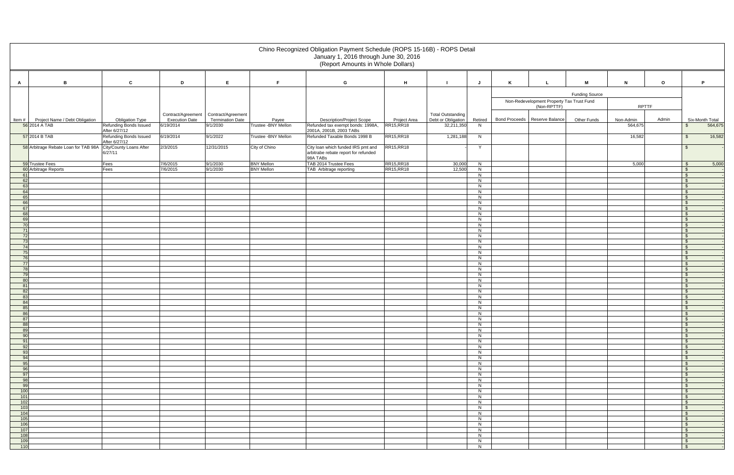|                                                           |                                                         |                                    |                                     |                               | Chino Recognized Obligation Payment Schedule (ROPS 15-16B) - ROPS Detail<br>January 1, 2016 through June 30, 2016<br>(Report Amounts in Whole Dollars) |                            |                                  |              |   |                                           |                       |                      |         |                                    |
|-----------------------------------------------------------|---------------------------------------------------------|------------------------------------|-------------------------------------|-------------------------------|--------------------------------------------------------------------------------------------------------------------------------------------------------|----------------------------|----------------------------------|--------------|---|-------------------------------------------|-----------------------|----------------------|---------|------------------------------------|
| B<br>A                                                    | $\mathbf c$                                             | D                                  | E.                                  | F.                            | G                                                                                                                                                      | H                          |                                  | J            | K | L                                         | M                     | $\mathbf N$          | $\circ$ | P.                                 |
|                                                           |                                                         |                                    |                                     |                               |                                                                                                                                                        |                            |                                  |              |   |                                           |                       |                      |         |                                    |
|                                                           |                                                         |                                    |                                     |                               |                                                                                                                                                        |                            |                                  |              |   | Non-Redevelopment Property Tax Trust Fund | <b>Funding Source</b> |                      |         |                                    |
|                                                           |                                                         |                                    |                                     |                               |                                                                                                                                                        |                            |                                  |              |   | (Non-RPTTF)                               |                       | <b>RPTTF</b>         |         |                                    |
|                                                           |                                                         | Contract/Agreement                 | Contract/Agreement                  |                               |                                                                                                                                                        |                            | Total Outstanding                |              |   |                                           |                       |                      |         |                                    |
| Project Name / Debt Obligation<br>ltem #<br>56 2014 A TAB | <b>Obligation Type</b><br><b>Refunding Bonds Issued</b> | <b>Execution Date</b><br>6/19/2014 | <b>Termination Date</b><br>9/1/2030 | Payee<br>Trustee - BNY Mellon | <b>Description/Project Scope</b><br>Refunded tax exempt bonds: 1998A,                                                                                  | Project Area<br>RR15, RR18 | Debt or Obligation<br>32,211,350 | Retired<br>N |   | Bond Proceeds   Reserve Balance           | Other Funds           | Non-Admin<br>564,675 | Admin   | Six-Month Total<br>564,675<br>- \$ |
|                                                           | After 6/27/12                                           |                                    |                                     |                               | 2001A, 2001B, 2003 TABs                                                                                                                                |                            |                                  |              |   |                                           |                       |                      |         |                                    |
| 57 2014 B TAB                                             | <b>Refunding Bonds Issued</b><br>After 6/27/12          | 6/19/2014                          | 9/1/2022                            | Trustee - BNY Mellon          | Refunded Taxable Bonds 1998 B                                                                                                                          | <b>RR15, RR18</b>          | 1,281,188                        | N            |   |                                           |                       | 16,582               |         | 16,582<br>$\mathbb{S}$             |
| 58 Arbitrage Rebate Loan for TAB 98A                      | City/County Loans After<br>6/27/11                      | 2/3/2015                           | 12/31/2015                          | City of Chino                 | City loan which funded IRS pmt and<br>arbitrabe rebate report for refunded<br>98A TABs                                                                 | RR15, RR18                 |                                  | Y            |   |                                           |                       |                      |         | $\mathbf{\$}$                      |
| 59 Trustee Fees                                           | Fees                                                    | 7/6/2015                           | 9/1/2030                            | <b>BNY Mellon</b>             | TAB 2014 Trustee Fees                                                                                                                                  | RR15, RR18                 | 30,000                           | N            |   |                                           |                       | 5,000                |         | 5,000<br>$\mathfrak{S}$            |
| 60 Arbitrage Reports<br>-61                               | Fees                                                    | 7/6/2015                           | 9/1/2030                            | <b>BNY Mellon</b>             | TAB Arbitrage reporting                                                                                                                                | RR15, RR18                 | 12,500                           | N<br>N       |   |                                           |                       |                      |         | $\mathbb{S}$<br>- \$               |
| 62                                                        |                                                         |                                    |                                     |                               |                                                                                                                                                        |                            |                                  | N            |   |                                           |                       |                      |         | - \$                               |
| 63<br>64                                                  |                                                         |                                    |                                     |                               |                                                                                                                                                        |                            |                                  | N<br>N       |   |                                           |                       |                      |         | \$<br>\$                           |
| 65                                                        |                                                         |                                    |                                     |                               |                                                                                                                                                        |                            |                                  | N            |   |                                           |                       |                      |         | $\mathbb{S}$                       |
| 66<br>67                                                  |                                                         |                                    |                                     |                               |                                                                                                                                                        |                            |                                  | N<br>N       |   |                                           |                       |                      |         | \$<br>$\mathcal{S}$                |
| 68                                                        |                                                         |                                    |                                     |                               |                                                                                                                                                        |                            |                                  | N            |   |                                           |                       |                      |         | \$                                 |
| 69                                                        |                                                         |                                    |                                     |                               |                                                                                                                                                        |                            |                                  | N<br>N       |   |                                           |                       |                      |         | - \$<br>$\mathcal{S}$              |
| 70<br>71                                                  |                                                         |                                    |                                     |                               |                                                                                                                                                        |                            |                                  | N            |   |                                           |                       |                      |         | $\mathbf{\$}$                      |
| 72                                                        |                                                         |                                    |                                     |                               |                                                                                                                                                        |                            |                                  | N            |   |                                           |                       |                      |         | \$                                 |
| 73<br>74                                                  |                                                         |                                    |                                     |                               |                                                                                                                                                        |                            |                                  | N<br>N       |   |                                           |                       |                      |         | $\mathbb{S}$<br>- \$               |
| 75                                                        |                                                         |                                    |                                     |                               |                                                                                                                                                        |                            |                                  | N            |   |                                           |                       |                      |         | \$                                 |
| 76<br>77                                                  |                                                         |                                    |                                     |                               |                                                                                                                                                        |                            |                                  | N<br>N       |   |                                           |                       |                      |         | $\sqrt{3}$<br>\$                   |
| 78                                                        |                                                         |                                    |                                     |                               |                                                                                                                                                        |                            |                                  | N            |   |                                           |                       |                      |         | $\mathbb{S}$                       |
| 79<br>80                                                  |                                                         |                                    |                                     |                               |                                                                                                                                                        |                            |                                  | N<br>N       |   |                                           |                       |                      |         | $\mathbf{\hat{s}}$<br>- \$         |
| -81                                                       |                                                         |                                    |                                     |                               |                                                                                                                                                        |                            |                                  | N            |   |                                           |                       |                      |         | \$                                 |
| 82                                                        |                                                         |                                    |                                     |                               |                                                                                                                                                        |                            |                                  | N<br>N       |   |                                           |                       |                      |         | \$<br>$\mathbf{\hat{s}}$           |
| 83<br>84                                                  |                                                         |                                    |                                     |                               |                                                                                                                                                        |                            |                                  | N            |   |                                           |                       |                      |         | \$                                 |
| 85                                                        |                                                         |                                    |                                     |                               |                                                                                                                                                        |                            |                                  | N            |   |                                           |                       |                      |         | $\hat{\mathbf{r}}$                 |
| 86<br>87                                                  |                                                         |                                    |                                     |                               |                                                                                                                                                        |                            |                                  | N<br>N       |   |                                           |                       |                      |         |                                    |
| 88                                                        |                                                         |                                    |                                     |                               |                                                                                                                                                        |                            |                                  | N            |   |                                           |                       |                      |         | <b>S</b>                           |
| 89<br>90                                                  |                                                         |                                    |                                     |                               |                                                                                                                                                        |                            |                                  | N<br>N       |   |                                           |                       |                      |         | - \$<br><b>S</b>                   |
| 91                                                        |                                                         |                                    |                                     |                               |                                                                                                                                                        |                            |                                  | N            |   |                                           |                       |                      |         | - S                                |
| 92<br>93                                                  |                                                         |                                    |                                     |                               |                                                                                                                                                        |                            |                                  | N<br>N       |   |                                           |                       |                      |         | - \$<br>- \$                       |
| 94                                                        |                                                         |                                    |                                     |                               |                                                                                                                                                        |                            |                                  | N            |   |                                           |                       |                      |         | $\mathbb{S}$                       |
| 95<br>96                                                  |                                                         |                                    |                                     |                               |                                                                                                                                                        |                            |                                  | N<br>N       |   |                                           |                       |                      |         | $^{\circ}$<br>- \$                 |
| 97                                                        |                                                         |                                    |                                     |                               |                                                                                                                                                        |                            |                                  | N            |   |                                           |                       |                      |         | <b>S</b>                           |
| 98                                                        |                                                         |                                    |                                     |                               |                                                                                                                                                        |                            |                                  | N            |   |                                           |                       |                      |         | $\mathcal{S}$                      |
| 99<br>100                                                 |                                                         |                                    |                                     |                               |                                                                                                                                                        |                            |                                  | N<br>N       |   |                                           |                       |                      |         | - \$<br>- \$                       |
| 101                                                       |                                                         |                                    |                                     |                               |                                                                                                                                                        |                            |                                  | N            |   |                                           |                       |                      |         | - \$                               |
| 102<br>103                                                |                                                         |                                    |                                     |                               |                                                                                                                                                        |                            |                                  | N<br>N       |   |                                           |                       |                      |         | - \$<br><b>S</b>                   |
| 104                                                       |                                                         |                                    |                                     |                               |                                                                                                                                                        |                            |                                  | N            |   |                                           |                       |                      |         | <b>S</b>                           |
| 105<br>106                                                |                                                         |                                    |                                     |                               |                                                                                                                                                        |                            |                                  | N<br>N       |   |                                           |                       |                      |         | - \$<br>$^{\circ}$                 |
| 107                                                       |                                                         |                                    |                                     |                               |                                                                                                                                                        |                            |                                  | N            |   |                                           |                       |                      |         | $\sqrt{S}$                         |
| 108<br>109                                                |                                                         |                                    |                                     |                               |                                                                                                                                                        |                            |                                  | N<br>N       |   |                                           |                       |                      |         | $\mathbb{S}$<br>$\mathbb{S}$       |
| 110                                                       |                                                         |                                    |                                     |                               |                                                                                                                                                        |                            |                                  | N            |   |                                           |                       |                      |         | $\mathbf{s}$                       |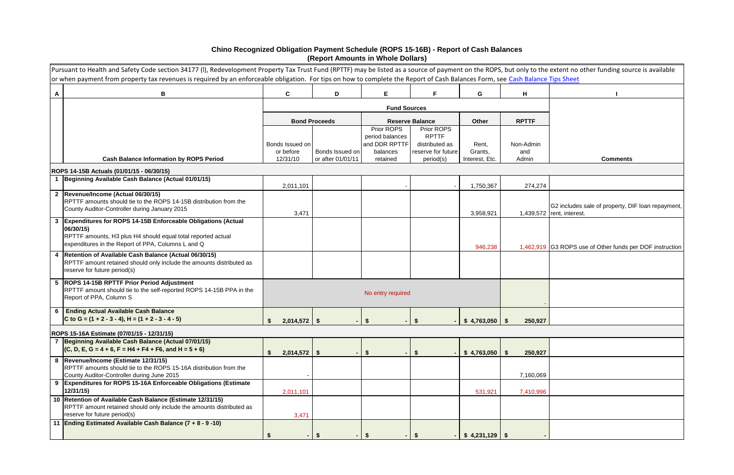# **Chino Recognized Obligation Payment Schedule (ROPS 15-16B) - Report of Cash Balances (Report Amounts in Whole Dollars)**

|   | Pursuant to Health and Safety Code section 34177 (I), Redevelopment Property Tax Trust Fund (RPTTF) may be listed as a source of payment on the ROPS, but only to the extent no other funding source is available<br>or when payment from property tax revenues is required by an enforceable obligation. For tips on how to complete the Report of Cash Balances Form, see Cash Balance Tips Sheet |                              |                      |                               |                                      |                   |                  |                                                                                |
|---|-----------------------------------------------------------------------------------------------------------------------------------------------------------------------------------------------------------------------------------------------------------------------------------------------------------------------------------------------------------------------------------------------------|------------------------------|----------------------|-------------------------------|--------------------------------------|-------------------|------------------|--------------------------------------------------------------------------------|
| A | B                                                                                                                                                                                                                                                                                                                                                                                                   | $\mathbf{C}$                 | D                    | E                             | F.                                   | G                 | H                |                                                                                |
|   |                                                                                                                                                                                                                                                                                                                                                                                                     |                              |                      | <b>Fund Sources</b>           |                                      |                   |                  |                                                                                |
|   |                                                                                                                                                                                                                                                                                                                                                                                                     |                              | <b>Bond Proceeds</b> |                               | <b>Reserve Balance</b>               | Other             | <b>RPTTF</b>     |                                                                                |
|   |                                                                                                                                                                                                                                                                                                                                                                                                     |                              |                      | Prior ROPS<br>period balances | Prior ROPS<br><b>RPTTF</b>           |                   |                  |                                                                                |
|   |                                                                                                                                                                                                                                                                                                                                                                                                     | Bonds Issued on<br>or before | Bonds Issued on      | and DDR RPTTF<br>balances     | distributed as<br>reserve for future | Rent,<br>Grants,  | Non-Admin<br>and |                                                                                |
|   | <b>Cash Balance Information by ROPS Period</b>                                                                                                                                                                                                                                                                                                                                                      | 12/31/10                     | or after 01/01/11    | retained                      | period(s)                            | Interest, Etc.    | Admin            | <b>Comments</b>                                                                |
|   | ROPS 14-15B Actuals (01/01/15 - 06/30/15)                                                                                                                                                                                                                                                                                                                                                           |                              |                      |                               |                                      |                   |                  |                                                                                |
|   | 1  Beginning Available Cash Balance (Actual 01/01/15)                                                                                                                                                                                                                                                                                                                                               | 2,011,101                    |                      |                               |                                      | 1,750,367         | 274,274          |                                                                                |
|   | 2  Revenue/Income (Actual 06/30/15)                                                                                                                                                                                                                                                                                                                                                                 |                              |                      |                               |                                      |                   |                  |                                                                                |
|   | RPTTF amounts should tie to the ROPS 14-15B distribution from the<br>County Auditor-Controller during January 2015                                                                                                                                                                                                                                                                                  | 3,471                        |                      |                               |                                      | 3,958,921         |                  | G2 includes sale of property, DIF loan repayment,<br>1,439,572 rent, interest. |
|   | 3 Expenditures for ROPS 14-15B Enforceable Obligations (Actual<br>06/30/15)<br>RPTTF amounts, H3 plus H4 should equal total reported actual<br>expenditures in the Report of PPA, Columns L and Q                                                                                                                                                                                                   |                              |                      |                               |                                      |                   |                  |                                                                                |
|   | 4   Retention of Available Cash Balance (Actual 06/30/15)                                                                                                                                                                                                                                                                                                                                           |                              |                      |                               |                                      | 946,238           |                  | 1,462,919 G3 ROPS use of Other funds per DOF instruction                       |
|   | RPTTF amount retained should only include the amounts distributed as<br>reserve for future period(s)                                                                                                                                                                                                                                                                                                |                              |                      |                               |                                      |                   |                  |                                                                                |
|   | 5  ROPS 14-15B RPTTF Prior Period Adjustment<br>RPTTF amount should tie to the self-reported ROPS 14-15B PPA in the<br>Report of PPA, Column S                                                                                                                                                                                                                                                      |                              |                      | No entry required             |                                      |                   |                  |                                                                                |
|   | <b>Ending Actual Available Cash Balance</b><br>C to G = $(1 + 2 - 3 - 4)$ , H = $(1 + 2 - 3 - 4 - 5)$                                                                                                                                                                                                                                                                                               | $2,014,572$ \$               |                      |                               |                                      |                   | 250,927          |                                                                                |
|   | ROPS 15-16A Estimate (07/01/15 - 12/31/15)                                                                                                                                                                                                                                                                                                                                                          |                              |                      |                               |                                      |                   |                  |                                                                                |
|   | 7 Beginning Available Cash Balance (Actual 07/01/15)<br>$(C, D, E, G = 4 + 6, F = H4 + F4 + F6, and H = 5 + 6)$                                                                                                                                                                                                                                                                                     | $2,014,572$ \$               |                      | - \$                          | S                                    | $$4,763,050$ \ \$ | 250,927          |                                                                                |
|   | 8  Revenue/Income (Estimate 12/31/15)<br>RPTTF amounts should tie to the ROPS 15-16A distribution from the<br>County Auditor-Controller during June 2015                                                                                                                                                                                                                                            |                              |                      |                               |                                      |                   | 7,160,069        |                                                                                |
|   | 9 Expenditures for ROPS 15-16A Enforceable Obligations (Estimate<br>12/31/15)                                                                                                                                                                                                                                                                                                                       | 2,011,101                    |                      |                               |                                      | 531,921           | 7,410,996        |                                                                                |
|   | 10 Retention of Available Cash Balance (Estimate 12/31/15)<br>RPTTF amount retained should only include the amounts distributed as<br>reserve for future period(s)                                                                                                                                                                                                                                  | 3,471                        |                      |                               |                                      |                   |                  |                                                                                |
|   | 11 Ending Estimated Available Cash Balance (7 + 8 - 9 -10)                                                                                                                                                                                                                                                                                                                                          | $\blacksquare$               | -S                   |                               |                                      |                   |                  |                                                                                |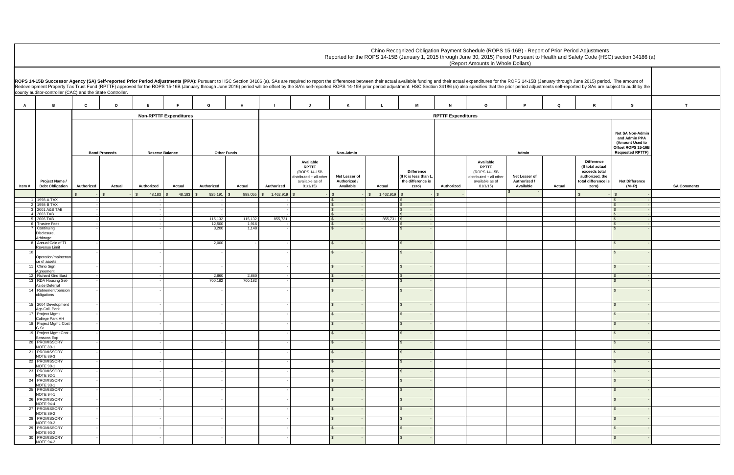|                                            |        | ROPS 14-15B (January through June 2015) period. The amount of                                      | rior period adjustments self-reported by SAs are subject to audit by the                              |                    |
|--------------------------------------------|--------|----------------------------------------------------------------------------------------------------|-------------------------------------------------------------------------------------------------------|--------------------|
| P                                          | Q      | R                                                                                                  | s                                                                                                     | T                  |
|                                            |        |                                                                                                    |                                                                                                       |                    |
| Admin                                      |        |                                                                                                    | Net SA Non-Admin<br>and Admin PPA<br>(Amount Used to<br>Offset ROPS 15-16B<br><b>Requested RPTTF)</b> |                    |
| Net Lesser of<br>Authorized /<br>Available | Actual | Difference<br>(If total actual<br>exceeds total<br>authorized, the<br>total difference is<br>zero) | Net Difference<br>$(M+R)$                                                                             | <b>SA Comments</b> |
| $$\mathfrak{s}$$<br>÷,                     |        | \$                                                                                                 | \$                                                                                                    |                    |
|                                            |        |                                                                                                    | \$<br>$\blacksquare$<br>\$<br>$\blacksquare$                                                          |                    |
|                                            |        |                                                                                                    | \$<br>$\blacksquare$                                                                                  |                    |
|                                            |        |                                                                                                    | \$<br>$\blacksquare$<br>$$\overline{\mathcal{S}}$$<br>$\blacksquare$                                  |                    |
|                                            |        |                                                                                                    | \$<br>$\blacksquare$<br>\$<br>$\overline{\phantom{a}}$                                                |                    |
|                                            |        |                                                                                                    |                                                                                                       |                    |
|                                            |        |                                                                                                    | $\mathbb{S}$<br>$\blacksquare$                                                                        |                    |
|                                            |        |                                                                                                    | \$<br>$\overline{\phantom{a}}$                                                                        |                    |
|                                            |        |                                                                                                    | \$<br>÷,                                                                                              |                    |
|                                            |        |                                                                                                    | \$<br>$\overline{\phantom{a}}$<br>\$<br>$\overline{\phantom{a}}$                                      |                    |
|                                            |        |                                                                                                    | \$<br>$\blacksquare$                                                                                  |                    |
|                                            |        |                                                                                                    | \$<br>$\blacksquare$                                                                                  |                    |
|                                            |        |                                                                                                    | \$<br>÷,                                                                                              |                    |
|                                            |        |                                                                                                    | \$<br>$\blacksquare$                                                                                  |                    |
|                                            |        |                                                                                                    | \$<br>$\overline{\phantom{a}}$                                                                        |                    |
|                                            |        |                                                                                                    | \$<br>$\overline{\phantom{a}}$                                                                        |                    |
|                                            |        |                                                                                                    | \$<br>$\blacksquare$                                                                                  |                    |
|                                            |        |                                                                                                    | \$<br>$\frac{1}{2}$                                                                                   |                    |
|                                            |        |                                                                                                    | \$<br>$\overline{\phantom{a}}$                                                                        |                    |
|                                            |        |                                                                                                    | \$<br>L,                                                                                              |                    |
|                                            |        |                                                                                                    | \$<br>$\frac{1}{2}$                                                                                   |                    |
|                                            |        |                                                                                                    | \$<br>$\frac{1}{2}$<br>\$<br>$\Box$                                                                   |                    |
|                                            |        |                                                                                                    | \$<br>$\frac{1}{2}$                                                                                   |                    |
|                                            |        |                                                                                                    |                                                                                                       |                    |
|                                            |        |                                                                                                    | \$<br>$\frac{1}{2}$<br>\$<br>$\overline{\phantom{a}}$                                                 |                    |
|                                            |        |                                                                                                    |                                                                                                       |                    |

**A B C D E F G H I J K L M N O P Q R S T Authorized Actual Authorized Actual Authorized Actual Authorized Available RPTTF**  (ROPS 14-15B distributed + all other available as of 01/1/15)  **Net Lesser of Authorized / Available Actual Difference (If K is less than L, the difference is zero) Authorized Available RPTTF**  (ROPS 14-15B distributed + all other available as of 01/1/15)  **Net Lesser of Authorized / Available** \$ - \$ - \$ - \$ 48,183 \$ 48,183 \$ 925,191 \$ 898,055 \$ 1,462,919 \$ - \$ 1,462,919 \$ - \$ - \$ - \$ - \$ - 1 1998-A TAX 2 1998-B TAX - - - - \$ - \$ - \$ - 3 2001 A&B TAB - - - - \$ - \$ - \$ - 3 2001 A&B TAB - - - - \$ - \$ - \$ - 4 | 2003 TAB | Reference of the Line of Section 1, 1990 in the section 1, 1990 in the section 1 in the Section 1 5 2006 TAB - - 115,132 115,132 855,731 \$ - 855,731 \$ - \$ - 6 Trustee Fees - - 12,500 1,916 - \$ - \$ - \$ - 6 Trustee Fees Disclosure, Arbitrage - - 3,200 1,148 - \$ - \$ - \$ - 8 Annual Calc of TI Revenue Limit - - 2,000 - - \$ - \$ - \$ - 10 Operation/maintena ce of assets - - - - \$ - \$ - \$ - 11 Chino Sign Agreement - - - - \$ - \$ - \$ - 12 Richard Gird Bust | - | - | | 2,860 | - | | \$ - - | | | | | \$ - -13 RDA Housing Set-Aside Deferral - - 700,182 700,182 - \$ - \$ - \$ - 14 Retirement/pension obligations - - - - \$ - \$ - \$ - 15 2004 Development Agr-Coll. Park - - - - \$ - \$ - \$ - 17 Project Mgmt College Park AH - - - - \$ - \$ - \$ - 18 Project Mgmt. Cost - G St - - - - \$ - \$ - \$ - 19 Project Mgmt Cost Seasons Exp - - - - \$ - \$ - \$ - 20 PROMISSORY NOTE 89-1 - - - - \$ - \$ - \$ - 21 PROMISSORY **NOTE 89-3**  - - - - \$ - \$ - \$ - 22 PROMISSORY **NOTE 90-1**  - - - - \$ - \$ - \$ - 23 **PROMISSORY** NOTE 92-1 - - - - \$ - \$ - \$ - 24 PROMISSORY **NOTE 93-1**  - - - - \$ - \$ - \$ - 25 PROMISSORY **NOTE 94-1**  - - - - \$ - \$ - \$ - 26 PROMISSORY **NOTE 94-4**  - - - - \$ - \$ - \$ - 27 PROMISSORY NOTE 89-2 - - - - \$ - \$ - \$ - 28 PROMISSORY NOTE 90-2 - - - - \$ - \$ - \$ - 29 PROMISSORY NOTE 93-2 - - - - \$ - \$ - \$ - 30 PROMISSORY **NOTE 94-2**  - - - - \$ - \$ - \$ - **RPTTF Expenditures** Chino Recognized Obligation Payment Schedule (ROPS 15-16B) - Report of Prior Period Adjustments Reported for the ROPS 14-15B (January 1, 2015 through June 30, 2015) Period Pursuant to Health and Safety Code (HSC) section 34186 (a) (Report Amounts in Whole Dollars) ROPS 14-15B Successor Agency (SA) Self-reported Prior Period Adjustments (PPA): Pursuant to HSC Section 34186 (a), SAs are required to report the differences between their actual available funding and their actual expendit Redevelopment Property Tax Trust Fund (RPTTF) approved for the ROPS 15-16B (January through June 2016) period will be offset by the SA's self-reported ROPS 14-15B prior period adjustment. HSC Section 34186 (a) also specifi county auditor-controller (CAC) and the State Controller. **Item # Project Name / Debt Obligation Non-RPTTF Expenditures Bond Proceeds Reserve Balance Other Funds Non-Admin Admin**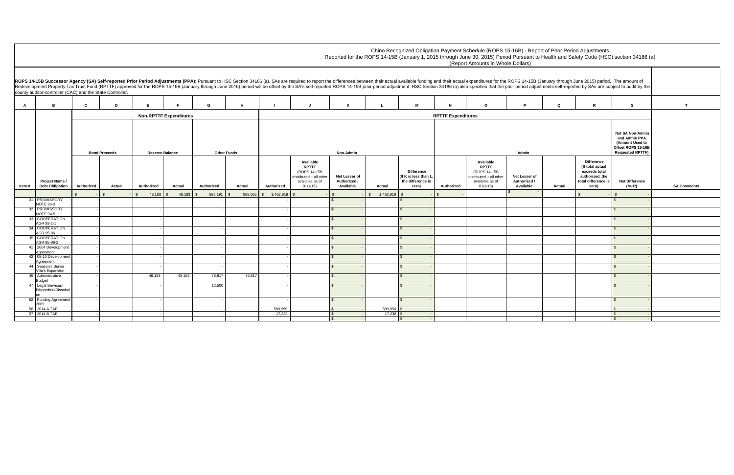|                         |                                            |                 |                                                                          |                           | e differences between their actual available funding and their actual expenditures for the ROPS 14-15B (January through June 2015) period. The amount of<br>I ROPS 14-15B prior period adjustment. HSC Section 34186 (a) also specifies that the prior period adjustments self-reported by SAs are subject to audit by the |                                            |        |                                                                                                           |                                                                                                              |                    |
|-------------------------|--------------------------------------------|-----------------|--------------------------------------------------------------------------|---------------------------|----------------------------------------------------------------------------------------------------------------------------------------------------------------------------------------------------------------------------------------------------------------------------------------------------------------------------|--------------------------------------------|--------|-----------------------------------------------------------------------------------------------------------|--------------------------------------------------------------------------------------------------------------|--------------------|
|                         | Κ                                          | L               | М                                                                        | N                         | $\mathbf{o}$                                                                                                                                                                                                                                                                                                               | P                                          | Q      | ${\mathbf R}$                                                                                             | s                                                                                                            | $\mathbf T$        |
|                         |                                            |                 |                                                                          | <b>RPTTF Expenditures</b> |                                                                                                                                                                                                                                                                                                                            |                                            |        |                                                                                                           |                                                                                                              |                    |
|                         | Non-Admin                                  |                 |                                                                          |                           |                                                                                                                                                                                                                                                                                                                            | Admin                                      |        |                                                                                                           | <b>Net SA Non-Admin</b><br>and Admin PPA<br>(Amount Used to<br>Offset ROPS 15-16B<br><b>Requested RPTTF)</b> |                    |
|                         | Net Lesser of<br>Authorized /<br>Available | Actual          | <b>Difference</b><br>(If K is less than L,<br>the difference is<br>zero) | Authorized                | Available<br><b>RPTTF</b><br>(ROPS 14-15B<br>distributed + all other<br>available as of<br>01/1/15                                                                                                                                                                                                                         | Net Lesser of<br>Authorized /<br>Available | Actual | <b>Difference</b><br>(If total actual<br>exceeds total<br>authorized, the<br>total difference is<br>zero) | <b>Net Difference</b><br>$(M+R)$                                                                             | <b>SA Comments</b> |
| \$                      |                                            | \$<br>1,462,919 | $\,$                                                                     | $\mathbb{S}$              |                                                                                                                                                                                                                                                                                                                            | $\sqrt[6]{2}$                              |        | $\mathfrak{F}$                                                                                            | \$                                                                                                           |                    |
| $$\mathbb{S}$$          |                                            |                 | $\mathfrak{s}$                                                           |                           |                                                                                                                                                                                                                                                                                                                            |                                            |        |                                                                                                           | $\mathbb{S}$                                                                                                 |                    |
| $\pmb{\mathfrak{F}}$    | $\overline{\phantom{a}}$                   |                 | $\frac{1}{2}$<br>$\overline{\phantom{a}}$                                |                           |                                                                                                                                                                                                                                                                                                                            |                                            |        |                                                                                                           | $\mathfrak{S}$                                                                                               |                    |
| $\sqrt[6]{\frac{1}{2}}$ | $\blacksquare$                             |                 | $\sqrt[6]{2}$<br>$\blacksquare$                                          |                           |                                                                                                                                                                                                                                                                                                                            |                                            |        |                                                                                                           | $\sqrt[6]{3}$                                                                                                |                    |
| $$\mathfrak{s}$$        | $\overline{\phantom{a}}$                   |                 | $\sqrt[6]{2}$<br>$\blacksquare$                                          |                           |                                                                                                                                                                                                                                                                                                                            |                                            |        |                                                                                                           | $\sqrt[6]{3}$                                                                                                |                    |
| $\pmb{\$}$              | $\overline{\phantom{a}}$                   |                 | $\boldsymbol{\mathsf{S}}$<br>$\blacksquare$                              |                           |                                                                                                                                                                                                                                                                                                                            |                                            |        |                                                                                                           | $\mathbb{S}$                                                                                                 |                    |
| $$\mathbb{S}$$          | $\overline{\phantom{a}}$                   |                 | $\boldsymbol{\mathsf{S}}$                                                |                           |                                                                                                                                                                                                                                                                                                                            |                                            |        |                                                                                                           | $\boldsymbol{\mathsf{S}}$                                                                                    |                    |
| $$\mathfrak{s}$$        | $\overline{\phantom{a}}$                   |                 | $\sqrt{3}$<br>$\overline{\phantom{a}}$                                   |                           |                                                                                                                                                                                                                                                                                                                            |                                            |        |                                                                                                           | $\sqrt[6]{3}$                                                                                                |                    |
| $$\mathfrak{s}$$        | $\overline{\phantom{a}}$                   |                 | $\sqrt[6]{2}$                                                            |                           |                                                                                                                                                                                                                                                                                                                            |                                            |        |                                                                                                           | $\sqrt[6]{3}$                                                                                                |                    |
| $$\mathfrak{s}$$        | $\overline{\phantom{a}}$                   |                 | $\frac{1}{2}$                                                            |                           |                                                                                                                                                                                                                                                                                                                            |                                            |        |                                                                                                           | $\sqrt[6]{3}$                                                                                                |                    |
| $$\mathbb{S}$$          | $\overline{a}$                             |                 | $\sqrt{3}$                                                               |                           |                                                                                                                                                                                                                                                                                                                            |                                            |        |                                                                                                           | $\mathfrak{s}$                                                                                               |                    |
| $\, \mathbb{S} \,$      | $\blacksquare$                             |                 | $\mathfrak{s}$<br>$\blacksquare$                                         |                           |                                                                                                                                                                                                                                                                                                                            |                                            |        |                                                                                                           | $\mathfrak{s}$                                                                                               |                    |
|                         | $\blacksquare$                             | 589,950 \$      | $\overline{\phantom{a}}$                                                 |                           |                                                                                                                                                                                                                                                                                                                            |                                            |        |                                                                                                           | $\mathbb{S}$                                                                                                 |                    |
| $\frac{6}{9}$           | $\blacksquare$<br>$\Box$                   | $17,238$ \$     | $\sim$<br>$\sqrt[6]{2}$<br>۰                                             |                           |                                                                                                                                                                                                                                                                                                                            |                                            |        |                                                                                                           | $\mathfrak{S}$<br>\$                                                                                         |                    |

**A B C D E F G H I J K L M N O P Q R S T Authorized Actual Authorized Actual Authorized Actual Authorized Available RPTTF**  (ROPS 14-15B distributed + all other available as of 01/1/15)  **Net Lesser of Authorized / Available Actual Difference (If K is less than L, the difference is zero) Authorized Available RPTTF**  (ROPS 14-15B distributed + all other available as of 01/1/15)  **Net Lesser of Authorized / Available** \$ - \$ - \$ - \$ 48,183 \$ 48,183 \$ 925,191 \$ 898,055 \$ 1,462,919 \$ - \$ 1,462,919 \$ - \$ - \$ - \$ - \$ -**RPTTF Expenditures** Chino Recognized Obligation Payment Schedule (ROPS 15-16B) - Repor Reported for the ROPS 14-15B (January 1, 2015 through June 30, 2015) Period Pursuant to (Report Amounts in Whole Dollars) ROPS 14-15B Successor Agency (SA) Self-reported Prior Period Adjustments (PPA): Pursuant to HSC Section 34186 (a), SAs are required to report the differences between their actual available funding and their actual expendit Redevelopment Property Tax Trust Fund (RPTTF) approved for the ROPS 15-16B (January through June 2016) period will be offset by the SA's self-reported ROPS 14-15B prior period adjustment. HSC Section 34186 (a) also specifi county auditor-controller (CAC) and the State Controller. **Item # Project Name / Debt Obligation Non-RPTTF Expenditures Bond Proceeds Reserve Balance Other Funds Non-Admin Admin** 31 **PROMISSORY** NOTE 94-3 - - - - \$ - \$ - \$ - 32 PROMISSORY NOTE 94-5 - - - - \$ - \$ - \$ - 33 COOPERATION AGR 93-1-1 - - - - \$ - \$ - \$ - 34 COOPERATION AGR 95-96 - - - - \$ - \$ - \$ - 35 COOPERATION AGR 95-96-2 - - - - \$ - \$ - \$ - 41 2004 Development Agreement - - - - \$ - \$ - \$ - 42 09-10 Development Agreement - - - - \$ - \$ - \$ - 44 Season's Senior Villa's Expansion - - - - \$ - \$ - \$ - 45 Administrative Budget - 48,183 48,183 76,817 76,817 - \$ - \$ - \$ - 47 Legal Services-Disposition/Dissoluti on - - 12,500 - \$ - \$ - \$ - 52 Funding Agreement  $\frac{2009}{56}$  2014 A TAB - - - - \$ - \$ - \$ - 56 2014 A TAB - - - 589,950 \$ - 589,950 \$ - \$ - 57 2014 B TAB - - - 17,238 \$ - 17,238 \$ - \$ -

| rt of Prior Period Adjustments                 |  |
|------------------------------------------------|--|
| Health and Safety Code (HSC) section 34186 (a) |  |